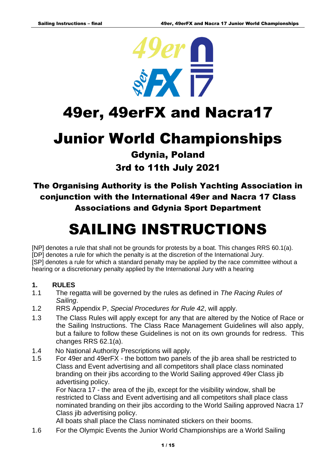

# 49er, 49erFX and Nacra17

# Junior World Championships

## Gdynia, Poland 3rd to 11th July 2021

The Organising Authority is the Polish Yachting Association in conjunction with the International 49er and Nacra 17 Class Associations and Gdynia Sport Department

# SAILING INSTRUCTIONS

[NP] denotes a rule that shall not be grounds for protests by a boat. This changes RRS 60.1(a). [DP] denotes a rule for which the penalty is at the discretion of the International Jury. [SP] denotes a rule for which a standard penalty may be applied by the race committee without a hearing or a discretionary penalty applied by the International Jury with a hearing

#### **1. RULES**

- 1.1 The regatta will be governed by the rules as defined in *The Racing Rules of Sailing*.
- 1.2 RRS Appendix P, *Special Procedures for Rule 42*, will apply.
- 1.3 The Class Rules will apply except for any that are altered by the Notice of Race or the Sailing Instructions. The Class Race Management Guidelines will also apply, but a failure to follow these Guidelines is not on its own grounds for redress. This changes RRS 62.1(a).
- 1.4 No National Authority Prescriptions will apply.
- 1.5 For 49er and 49erFX the bottom two panels of the jib area shall be restricted to Class and Event advertising and all competitors shall place class nominated branding on their jibs according to the World Sailing approved 49er Class jib advertising policy.

For Nacra 17 - the area of the jib, except for the visibility window, shall be restricted to Class and Event advertising and all competitors shall place class nominated branding on their jibs according to the World Sailing approved Nacra 17 Class jib advertising policy.

All boats shall place the Class nominated stickers on their booms.

1.6 For the Olympic Events the Junior World Championships are a World Sailing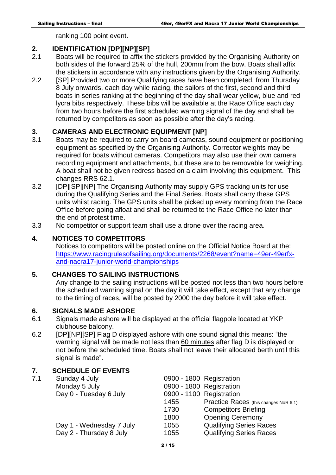ranking 100 point event.

#### **2. IDENTIFICATION [DP][NP][SP]**

- 2.1 Boats will be required to affix the stickers provided by the Organising Authority on both sides of the forward 25% of the hull, 200mm from the bow. Boats shall affix the stickers in accordance with any instructions given by the Organising Authority.
- 2.2 [SP] Provided two or more Qualifying races have been completed, from Thursday 8 July onwards, each day while racing, the sailors of the first, second and third boats in series ranking at the beginning of the day shall wear yellow, blue and red lycra bibs respectively. These bibs will be available at the Race Office each day from two hours before the first scheduled warning signal of the day and shall be returned by competitors as soon as possible after the day's racing.

#### **3. CAMERAS AND ELECTRONIC EQUIPMENT [NP]**

- 3.1 Boats may be required to carry on board cameras, sound equipment or positioning equipment as specified by the Organising Authority. Corrector weights may be required for boats without cameras. Competitors may also use their own camera recording equipment and attachments, but these are to be removable for weighing. A boat shall not be given redress based on a claim involving this equipment. This changes RRS 62.1.
- 3.2 **IDPIISPIINPI The Organising Authority may supply GPS tracking units for use** during the Qualifying Series and the Final Series. Boats shall carry these GPS units whilst racing. The GPS units shall be picked up every morning from the Race Office before going afloat and shall be returned to the Race Office no later than the end of protest time.
- 3.3 No competitor or support team shall use a drone over the racing area.

#### **4. NOTICES TO COMPETITORS**

Notices to competitors will be posted online on the Official Notice Board at the: [https://www.racingrulesofsailing.org/documents/2268/event?name=49er-49erfx](https://www.racingrulesofsailing.org/documents/2268/event?name=49er-49erfx-and-nacra17-junior-world-championships)[and-nacra17-junior-world-championships](https://www.racingrulesofsailing.org/documents/2268/event?name=49er-49erfx-and-nacra17-junior-world-championships) 

#### **5. CHANGES TO SAILING INSTRUCTIONS**

Any change to the sailing instructions will be posted not less than two hours before the scheduled warning signal on the day it will take effect, except that any change to the timing of races, will be posted by 2000 the day before it will take effect.

#### **6. SIGNALS MADE ASHORE**

- 6.1 Signals made ashore will be displayed at the official flagpole located at YKP clubhouse balcony.
- 6.2 [DP][NP][SP] Flag D displayed ashore with one sound signal this means: "the warning signal will be made not less than 60 minutes after flag D is displayed or not before the scheduled time. Boats shall not leave their allocated berth until this signal is made".

#### **7. SCHEDULE OF EVENTS**

| 7.1 | Sunday 4 July            | 0900 - 1800 Registration |                                       |
|-----|--------------------------|--------------------------|---------------------------------------|
|     | Monday 5 July            |                          | 0900 - 1800 Registration              |
|     | Day 0 - Tuesday 6 July   | 0900 - 1100 Registration |                                       |
|     |                          | 1455                     | Practice Races (this changes NoR 6.1) |
|     |                          | 1730                     | <b>Competitors Briefing</b>           |
|     |                          | 1800                     | <b>Opening Ceremony</b>               |
|     | Day 1 - Wednesday 7 July | 1055                     | <b>Qualifying Series Races</b>        |
|     | Day 2 - Thursday 8 July  | 1055                     | <b>Qualifying Series Races</b>        |
|     |                          |                          |                                       |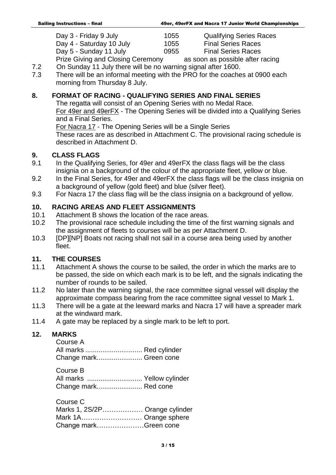| Day 3 - Friday 9 July    | 1055 | <b>Qualifying Series Races</b> |
|--------------------------|------|--------------------------------|
| Day 4 - Saturday 10 July | 1055 | <b>Final Series Races</b>      |
| Day 5 - Sunday 11 July   | 0955 | <b>Final Series Races</b>      |
| - - -                    |      |                                |

Prize Giving and Closing Ceremony as soon as possible after racing 7.2 On Sunday 11 July there will be no warning signal after 1600.

7.3 There will be an informal meeting with the PRO for the coaches at 0900 each

morning from Thursday 8 July.

#### **8. FORMAT OF RACING - QUALIFYING SERIES AND FINAL SERIES**

The regatta will consist of an Opening Series with no Medal Race. For 49er and 49erFX - The Opening Series will be divided into a Qualifying Series and a Final Series.

For Nacra 17 - The Opening Series will be a Single Series

These races are as described in Attachment C. The provisional racing schedule is described in Attachment D.

#### **9. CLASS FLAGS**

- 9.1 In the Qualifying Series, for 49er and 49erFX the class flags will be the class insignia on a background of the colour of the appropriate fleet, yellow or blue.
- 9.2 In the Final Series, for 49er and 49erFX the class flags will be the class insignia on a background of yellow (gold fleet) and blue (silver fleet).
- 9.3 For Nacra 17 the class flag will be the class insignia on a background of yellow.

### **10. RACING AREAS AND FLEET ASSIGNMENTS**

- 10.1 Attachment B shows the location of the race areas.
- 10.2 The provisional race schedule including the time of the first warning signals and the assignment of fleets to courses will be as per Attachment D.
- 10.3 [DP][NP] Boats not racing shall not sail in a course area being used by another fleet.

#### **11. THE COURSES**

- 11.1 Attachment A shows the course to be sailed, the order in which the marks are to be passed, the side on which each mark is to be left, and the signals indicating the number of rounds to be sailed.
- 11.2 No later than the warning signal, the race committee signal vessel will display the approximate compass bearing from the race committee signal vessel to Mark 1.
- 11.3 There will be a gate at the leeward marks and Nacra 17 will have a spreader mark at the windward mark.
- 11.4 A gate may be replaced by a single mark to be left to port.

#### **12. MARKS**

Course A All marks .............................. Red cylinder Change mark........................ Green cone

Course B All marks ............................. Yellow cylinder Change mark........................ Red cone

| Course C                       |  |
|--------------------------------|--|
| Marks 1, 2S/2P Orange cylinder |  |
| Mark 1A Orange sphere          |  |
| Change markGreen cone          |  |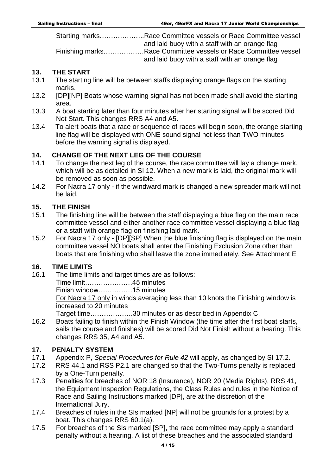Starting marks………………..Race Committee vessels or Race Committee vessel and laid buoy with a staff with an orange flag Finishing marks………………Race Committee vessels or Race Committee vessel

and laid buoy with a staff with an orange flag

#### **13. THE START**

- 13.1 The starting line will be between staffs displaying orange flags on the starting marks.
- 13.2 [DP][NP] Boats whose warning signal has not been made shall avoid the starting area.
- 13.3 A boat starting later than four minutes after her starting signal will be scored Did Not Start. This changes RRS A4 and A5.
- 13.4 To alert boats that a race or sequence of races will begin soon, the orange starting line flag will be displayed with ONE sound signal not less than TWO minutes before the warning signal is displayed.

#### **14. CHANGE OF THE NEXT LEG OF THE COURSE**

- 14.1 To change the next leg of the course, the race committee will lay a change mark, which will be as detailed in SI 12. When a new mark is laid, the original mark will be removed as soon as possible.
- 14.2 For Nacra 17 only if the windward mark is changed a new spreader mark will not be laid.

#### **15. THE FINISH**

- 15.1 The finishing line will be between the staff displaying a blue flag on the main race committee vessel and either another race committee vessel displaying a blue flag or a staff with orange flag on finishing laid mark.
- 15.2 For Nacra 17 only [DP][SP] When the blue finishing flag is displayed on the main committee vessel NO boats shall enter the Finishing Exclusion Zone other than boats that are finishing who shall leave the zone immediately. See Attachment E

### **16. TIME LIMITS**

- 16.1 The time limits and target times are as follows:
	- Time limit…………………45 minutes
	- Finish window……………15 minutes

For Nacra 17 only in winds averaging less than 10 knots the Finishing window is increased to 20 minutes

Target time……………….30 minutes or as described in Appendix C.

16.2 Boats failing to finish within the Finish Window (the time after the first boat starts, sails the course and finishes) will be scored Did Not Finish without a hearing. This changes RRS 35, A4 and A5.

#### **17. PENALTY SYSTEM**

- 17.1 Appendix P, *Special Procedures for Rule 42* will apply, as changed by SI 17.2.
- 17.2 RRS 44.1 and RSS P2.1 are changed so that the Two-Turns penalty is replaced by a One-Turn penalty.
- 17.3 Penalties for breaches of NOR 18 (Insurance), NOR 20 (Media Rights), RRS 41, the Equipment Inspection Regulations, the Class Rules and rules in the Notice of Race and Sailing Instructions marked [DP], are at the discretion of the International Jury.
- 17.4 Breaches of rules in the SIs marked [NP] will not be grounds for a protest by a boat. This changes RRS 60.1(a).
- 17.5 For breaches of the SIs marked [SP], the race committee may apply a standard penalty without a hearing. A list of these breaches and the associated standard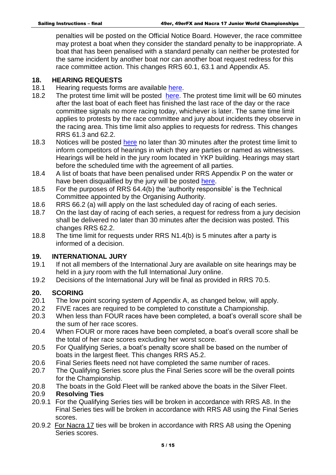penalties will be posted on the Official Notice Board. However, the race committee may protest a boat when they consider the standard penalty to be inappropriate. A boat that has been penalised with a standard penalty can neither be protested for the same incident by another boat nor can another boat request redress for this race committee action. This changes RRS 60.1, 63.1 and Appendix A5.

#### **18. HEARING REQUESTS**

- 18.1 Hearing requests forms are available [here.](https://www.racingrulesofsailing.org/protests/new?event_id=2268)
- 18.2 The protest time limit will be posted [here.](https://www.racingrulesofsailing.org/schedules/2268/event) The protest time limit will be 60 minutes after the last boat of each fleet has finished the last race of the day or the race committee signals no more racing today, whichever is later. The same time limit applies to protests by the race committee and jury about incidents they observe in the racing area. This time limit also applies to requests for redress. This changes RRS 61.3 and 62.2.
- 18.3 Notices will be posted [here](https://www.racingrulesofsailing.org/schedules/2268/event) no later than 30 minutes after the protest time limit to inform competitors of hearings in which they are parties or named as witnesses. Hearings will be held in the jury room located in YKP building. Hearings may start before the scheduled time with the agreement of all parties.
- 18.4 A list of boats that have been penalised under RRS Appendix P on the water or have been disqualified by the jury will be posted [here.](https://www.racingrulesofsailing.org/penalties/2268/event)
- 18.5 For the purposes of RRS 64.4(b) the 'authority responsible' is the Technical Committee appointed by the Organising Authority.
- 18.6 RRS 66.2 (a) will apply on the last scheduled day of racing of each series.
- 18.7 On the last day of racing of each series, a request for redress from a jury decision shall be delivered no later than 30 minutes after the decision was posted. This changes RRS 62.2.
- 18.8 The time limit for requests under RRS N1.4(b) is 5 minutes after a party is informed of a decision.

#### **19. INTERNATIONAL JURY**

- 19.1 If not all members of the International Jury are available on site hearings may be held in a jury room with the full International Jury online.
- 19.2 Decisions of the International Jury will be final as provided in RRS 70.5.

#### **20. SCORING**

- 20.1 The low point scoring system of Appendix A, as changed below, will apply.
- 20.2 FIVE races are required to be completed to constitute a Championship.
- 20.3 When less than FOUR races have been completed, a boat's overall score shall be the sum of her race scores.
- 20.4 When FOUR or more races have been completed, a boat's overall score shall be the total of her race scores excluding her worst score.
- 20.5 For Qualifying Series, a boat's penalty score shall be based on the number of boats in the largest fleet. This changes RRS A5.2.
- 20.6 Final Series fleets need not have completed the same number of races.
- 20.7 The Qualifying Series score plus the Final Series score will be the overall points for the Championship.
- 20.8 The boats in the Gold Fleet will be ranked above the boats in the Silver Fleet.

#### 20.9 **Resolving Ties**

- 20.9.1 For the Qualifying Series ties will be broken in accordance with RRS A8. In the Final Series ties will be broken in accordance with RRS A8 using the Final Series scores.
- 20.9.2 For Nacra 17 ties will be broken in accordance with RRS A8 using the Opening Series scores.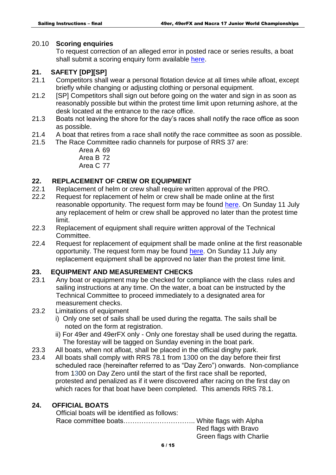#### 20.10 **Scoring enquiries**

To request correction of an alleged error in posted race or series results, a boat shall submit a scoring enquiry form available [here.](https://www.racingrulesofsailing.org/scoring_inquiries/new?event_id=2268)

#### **21. SAFETY [DP][SP]**

- 21.1 Competitors shall wear a personal flotation device at all times while afloat, except briefly while changing or adjusting clothing or personal equipment.
- 21.2 [SP] Competitors shall sign out before going on the water and sign in as soon as reasonably possible but within the protest time limit upon returning ashore, at the desk located at the entrance to the race office.
- 21.3 Boats not leaving the shore for the day's races shall notify the race office as soon as possible.
- 21.4 A boat that retires from a race shall notify the race committee as soon as possible.
- 21.5 The Race Committee radio channels for purpose of RRS 37 are:
	- Area A 69 Area B 72
	- Area C 77

#### **22. REPLACEMENT OF CREW OR EQUIPMENT**

- 22.1 Replacement of helm or crew shall require written approval of the PRO.
- 22.2 Request for replacement of helm or crew shall be made online at the first reasonable opportunity. The request form may be found [here.](https://www.racingrulesofsailing.org/crew_substitutions/new?event_id=2268) On Sunday 11 July any replacement of helm or crew shall be approved no later than the protest time limit.
- 22.3 Replacement of equipment shall require written approval of the Technical Committee.
- 22.4 Request for replacement of equipment shall be made online at the first reasonable opportunity. The request form may be found [here.](https://www.racingrulesofsailing.org/equipment_substitutions/new?event_id=2268) On Sunday 11 July any replacement equipment shall be approved no later than the protest time limit.

#### **23. EQUIPMENT AND MEASUREMENT CHECKS**

- 23.1 Any boat or equipment may be checked for compliance with the class rules and sailing instructions at any time. On the water, a boat can be instructed by the Technical Committee to proceed immediately to a designated area for measurement checks.
- 23.2 Limitations of equipment
	- i) Only one set of sails shall be used during the regatta. The sails shall be noted on the form at registration.
	- ii) For 49er and 49erFX only Only one forestay shall be used during the regatta. The forestay will be tagged on Sunday evening in the boat park.
- 23.3 All boats, when not afloat, shall be placed in the official dinghy park.
- 23.4 All boats shall comply with RRS 78.1 from 1300 on the day before their first scheduled race (hereinafter referred to as "Day Zero") onwards. Non-compliance from 1300 on Day Zero until the start of the first race shall be reported, protested and penalized as if it were discovered after racing on the first day on which races for that boat have been completed. This amends RRS 78.1.

#### **24. OFFICIAL BOATS**

| Official boats will be identified as follows: |                          |
|-----------------------------------------------|--------------------------|
|                                               |                          |
|                                               | Red flags with Bravo     |
|                                               | Green flags with Charlie |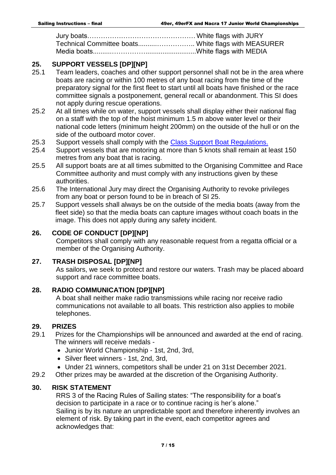Jury boats…………………………………………White flags with JURY Technical Committee boats..........…………….. White flags with MEASURER Media boats..........……………...........................White flags with MEDIA

#### **25. SUPPORT VESSELS [DP][NP]**

- 25.1 Team leaders, coaches and other support personnel shall not be in the area where boats are racing or within 100 metres of any boat racing from the time of the preparatory signal for the first fleet to start until all boats have finished or the race committee signals a postponement, general recall or abandonment. This SI does not apply during rescue operations.
- 25.2 At all times while on water, support vessels shall display either their national flag on a staff with the top of the hoist minimum 1.5 m above water level or their national code letters (minimum height 200mm) on the outside of the hull or on the side of the outboard motor cover.
- 25.3 Support vessels shall comply with the [Class Support Boat Regulations.](https://49er.org/wp-content/uploads/2021/02/49er-Nacra-17-Support-Vessel-Regulations.pdf)
- 25.4 Support vessels that are motoring at more than 5 knots shall remain at least 150 metres from any boat that is racing.
- 25.5 All support boats are at all times submitted to the Organising Committee and Race Committee authority and must comply with any instructions given by these authorities.
- 25.6 The International Jury may direct the Organising Authority to revoke privileges from any boat or person found to be in breach of SI 25.
- 25.7 Support vessels shall always be on the outside of the media boats (away from the fleet side) so that the media boats can capture images without coach boats in the image. This does not apply during any safety incident.

#### **26. CODE OF CONDUCT [DP][NP]**

Competitors shall comply with any reasonable request from a regatta official or a member of the Organising Authority.

#### **27. TRASH DISPOSAL [DP][NP]**

As sailors, we seek to protect and restore our waters. Trash may be placed aboard support and race committee boats.

#### **28. RADIO COMMUNICATION [DP][NP]**

 A boat shall neither make radio transmissions while racing nor receive radio communications not available to all boats. This restriction also applies to mobile telephones.

#### **29. PRIZES**

- 29.1 Prizes for the Championships will be announced and awarded at the end of racing. The winners will receive medals -
	- Junior World Championship 1st, 2nd, 3rd,
	- Silver fleet winners 1st, 2nd, 3rd,
	- Under 21 winners, competitors shall be under 21 on 31st December 2021.
- 29.2 Other prizes may be awarded at the discretion of the Organising Authority.

#### **30. RISK STATEMENT**

RRS 3 of the Racing Rules of Sailing states: "The responsibility for a boat's decision to participate in a race or to continue racing is her's alone." Sailing is by its nature an unpredictable sport and therefore inherently involves an element of risk. By taking part in the event, each competitor agrees and acknowledges that: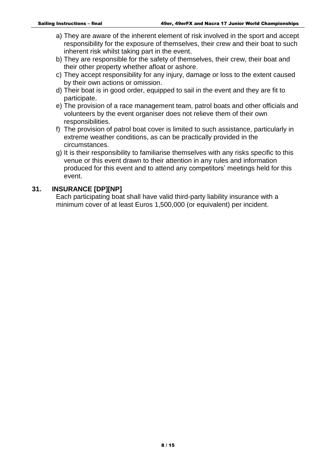- a) They are aware of the inherent element of risk involved in the sport and accept responsibility for the exposure of themselves, their crew and their boat to such inherent risk whilst taking part in the event.
- b) They are responsible for the safety of themselves, their crew, their boat and their other property whether afloat or ashore.
- c) They accept responsibility for any injury, damage or loss to the extent caused by their own actions or omission.
- d) Their boat is in good order, equipped to sail in the event and they are fit to participate.
- e) The provision of a race management team, patrol boats and other officials and volunteers by the event organiser does not relieve them of their own responsibilities.
- f) The provision of patrol boat cover is limited to such assistance, particularly in extreme weather conditions, as can be practically provided in the circumstances.
- g) It is their responsibility to familiarise themselves with any risks specific to this venue or this event drawn to their attention in any rules and information produced for this event and to attend any competitors' meetings held for this event.

#### **31. INSURANCE [DP][NP]**

Each participating boat shall have valid third-party liability insurance with a minimum cover of at least Euros 1,500,000 (or equivalent) per incident.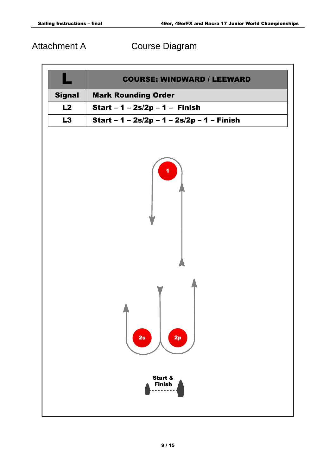Attachment A Course Diagram

|               | <b>COURSE: WINDWARD / LEEWARD</b>          |
|---------------|--------------------------------------------|
| <b>Signal</b> | <b>Mark Rounding Order</b>                 |
| L2            | <b>Start - 1 - 2s/2p - 1 - Finish</b>      |
| L3            | Start - 1 - 2s/2p - 1 - 2s/2p - 1 - Finish |
|               | 2p<br>2s<br>Start &<br><b>Finish</b>       |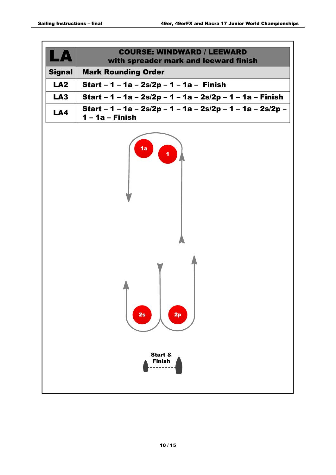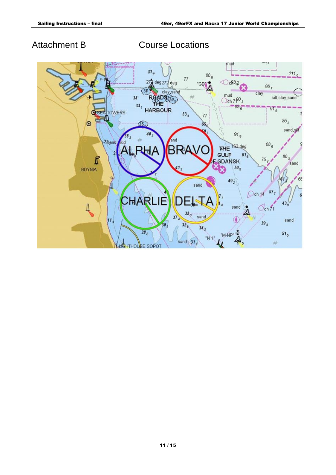Attachment B Course Locations

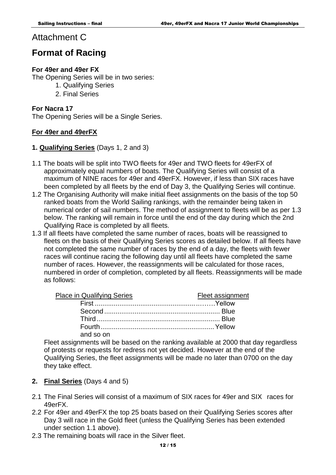#### Attachment C

### **Format of Racing**

#### **For 49er and 49er FX**

The Opening Series will be in two series:

- 1. Qualifying Series
- 2. Final Series

#### **For Nacra 17**

The Opening Series will be a Single Series.

#### **For 49er and 49erFX**

#### **1. Qualifying Series** (Days 1, 2 and 3)

- 1.1 The boats will be split into TWO fleets for 49er and TWO fleets for 49erFX of approximately equal numbers of boats. The Qualifying Series will consist of a maximum of NINE races for 49er and 49erFX. However, if less than SIX races have been completed by all fleets by the end of Day 3, the Qualifying Series will continue.
- 1.2 The Organising Authority will make initial fleet assignments on the basis of the top 50 ranked boats from the World Sailing rankings, with the remainder being taken in numerical order of sail numbers. The method of assignment to fleets will be as per 1.3 below. The ranking will remain in force until the end of the day during which the 2nd Qualifying Race is completed by all fleets.
- 1.3 If all fleets have completed the same number of races, boats will be reassigned to fleets on the basis of their Qualifying Series scores as detailed below. If all fleets have not completed the same number of races by the end of a day, the fleets with fewer races will continue racing the following day until all fleets have completed the same number of races. However, the reassignments will be calculated for those races, numbered in order of completion, completed by all fleets. Reassignments will be made as follows:

| <b>Place in Qualifying Series</b> | Fleet assignment |
|-----------------------------------|------------------|
|                                   |                  |
|                                   |                  |
|                                   |                  |
|                                   |                  |
| and so on                         |                  |

Fleet assignments will be based on the ranking available at 2000 that day regardless of protests or requests for redress not yet decided. However at the end of the Qualifying Series, the fleet assignments will be made no later than 0700 on the day they take effect.

- **2. Final Series** (Days 4 and 5)
- 2.1 The Final Series will consist of a maximum of SIX races for 49er and SIX races for 49erFX.
- 2.2 For 49er and 49erFX the top 25 boats based on their Qualifying Series scores after Day 3 will race in the Gold fleet (unless the Qualifying Series has been extended under section 1.1 above).
- 2.3 The remaining boats will race in the Silver fleet.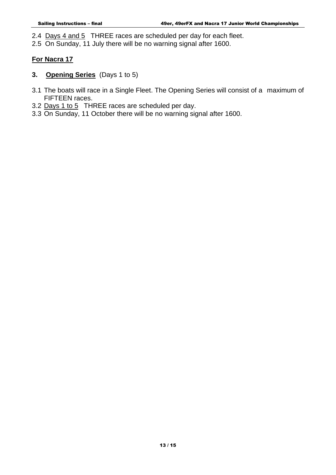2.4 Days 4 and 5 THREE races are scheduled per day for each fleet.

2.5 On Sunday, 11 July there will be no warning signal after 1600.

#### **For Nacra 17**

- **3. Opening Series** (Days 1 to 5)
- 3.1 The boats will race in a Single Fleet. The Opening Series will consist of a maximum of FIFTEEN races.
- 3.2 Days 1 to 5 THREE races are scheduled per day.
- 3.3 On Sunday, 11 October there will be no warning signal after 1600.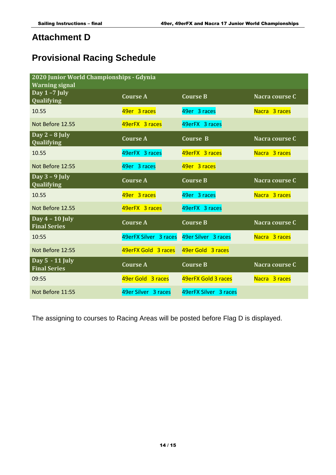### **Attachment D**

## **Provisional Racing Schedule**

| 2020 Junior World Championships - Gdynia<br><b>Warning signal</b> |                       |                       |                |  |
|-------------------------------------------------------------------|-----------------------|-----------------------|----------------|--|
| Day $1 - 7$ July<br>Qualifying                                    | <b>Course A</b>       | <b>Course B</b>       | Nacra course C |  |
| 10.55                                                             | 49er 3 races          | 49er 3 races          | Nacra 3 races  |  |
| Not Before 12.55                                                  | 49erFX 3 races        | 49erFX 3 races        |                |  |
| Day $2 - 8$ July<br>Qualifying                                    | <b>Course A</b>       | <b>Course B</b>       | Nacra course C |  |
| 10.55                                                             | 49erFX 3 races        | 49erFX 3 races        | Nacra 3 races  |  |
| Not Before 12:55                                                  | 49er 3 races          | 49er 3 races          |                |  |
| Day $3 - 9$ July<br>Qualifying                                    | <b>Course A</b>       | <b>Course B</b>       | Nacra course C |  |
| 10.55                                                             | 49er 3 races          | 49er 3 races          | Nacra 3 races  |  |
| Not Before 12.55                                                  | 49erFX 3 races        | 49erFX 3 races        |                |  |
| Day $4 - 10$ July<br><b>Final Series</b>                          | <b>Course A</b>       | <b>Course B</b>       | Nacra course C |  |
| 10:55                                                             | 49erFX Silver 3 races | 49er Silver 3 races   | Nacra 3 races  |  |
| Not Before 12:55                                                  | 49erFX Gold 3 races   | 49er Gold 3 races     |                |  |
| Day 5 - 11 July<br><b>Final Series</b>                            | <b>Course A</b>       | <b>Course B</b>       | Nacra course C |  |
| 09:55                                                             | 49er Gold 3 races     | 49erFX Gold 3 races   | Nacra 3 races  |  |
| Not Before 11:55                                                  | 49er Silver 3 races   | 49erFX Silver 3 races |                |  |

The assigning to courses to Racing Areas will be posted before Flag D is displayed.